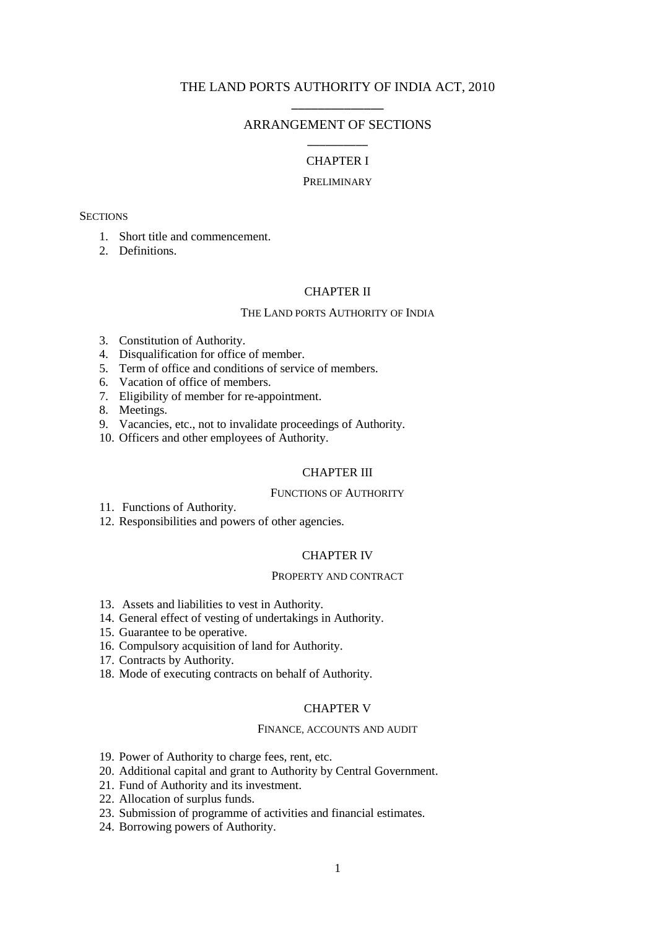# THE LAND PORTS AUTHORITY OF INDIA ACT, 2010 \_\_\_\_\_\_\_\_\_\_\_\_\_\_

# ARRANGEMENT OF SECTIONS \_\_\_\_\_\_\_\_\_\_

### CHAPTER I

### PRELIMINARY

### **SECTIONS**

- 1. Short title and commencement.
- 2. Definitions.

# CHAPTER II

### THE LAND PORTS AUTHORITY OF INDIA

- 3. Constitution of Authority.
- 4. Disqualification for office of member.
- 5. Term of office and conditions of service of members.
- 6. Vacation of office of members.
- 7. Eligibility of member for re-appointment.
- 8. Meetings.
- 9. Vacancies, etc., not to invalidate proceedings of Authority.
- 10. Officers and other employees of Authority.

## CHAPTER III

## FUNCTIONS OF AUTHORITY

- 11. Functions of Authority.
- 12. Responsibilities and powers of other agencies.

## CHAPTER IV

### PROPERTY AND CONTRACT

- 13. Assets and liabilities to vest in Authority.
- 14. General effect of vesting of undertakings in Authority.
- 15. Guarantee to be operative.
- 16. Compulsory acquisition of land for Authority.
- 17. Contracts by Authority.
- 18. Mode of executing contracts on behalf of Authority.

# CHAPTER V

### FINANCE, ACCOUNTS AND AUDIT

- 19. Power of Authority to charge fees, rent, etc.
- 20. Additional capital and grant to Authority by Central Government.
- 21. Fund of Authority and its investment.
- 22. Allocation of surplus funds.
- 23. Submission of programme of activities and financial estimates.
- 24. Borrowing powers of Authority.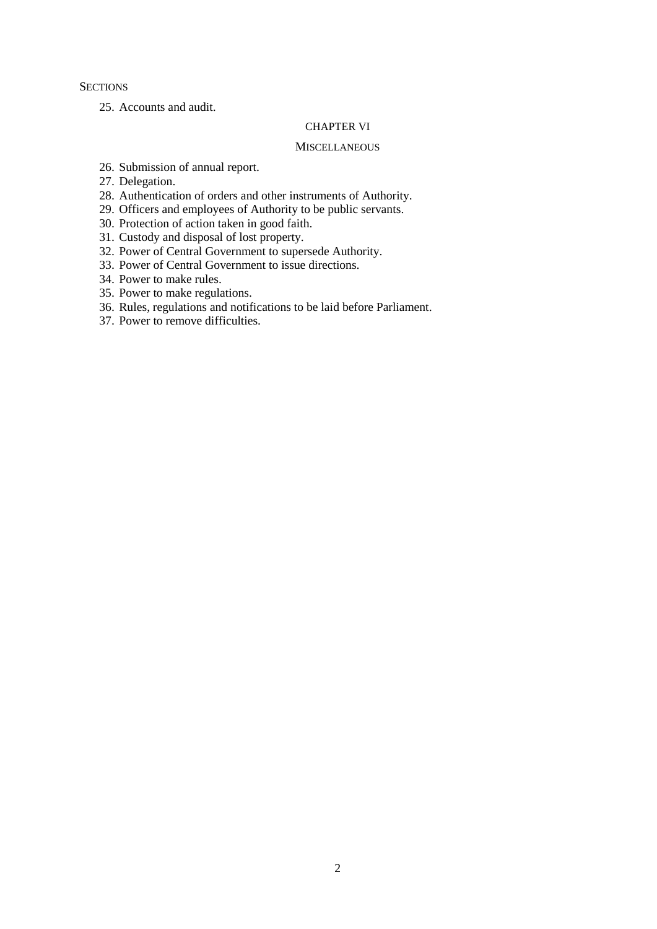## **SECTIONS**

25. Accounts and audit.

# CHAPTER VI

### **MISCELLANEOUS**

- 26. Submission of annual report.
- 27. Delegation.
- 28. Authentication of orders and other instruments of Authority.
- 29. Officers and employees of Authority to be public servants.
- 30. Protection of action taken in good faith.
- 31. Custody and disposal of lost property.
- 32. Power of Central Government to supersede Authority.
- 33. Power of Central Government to issue directions.
- 34. Power to make rules.
- 35. Power to make regulations.
- 36. Rules, regulations and notifications to be laid before Parliament.
- 37. Power to remove difficulties.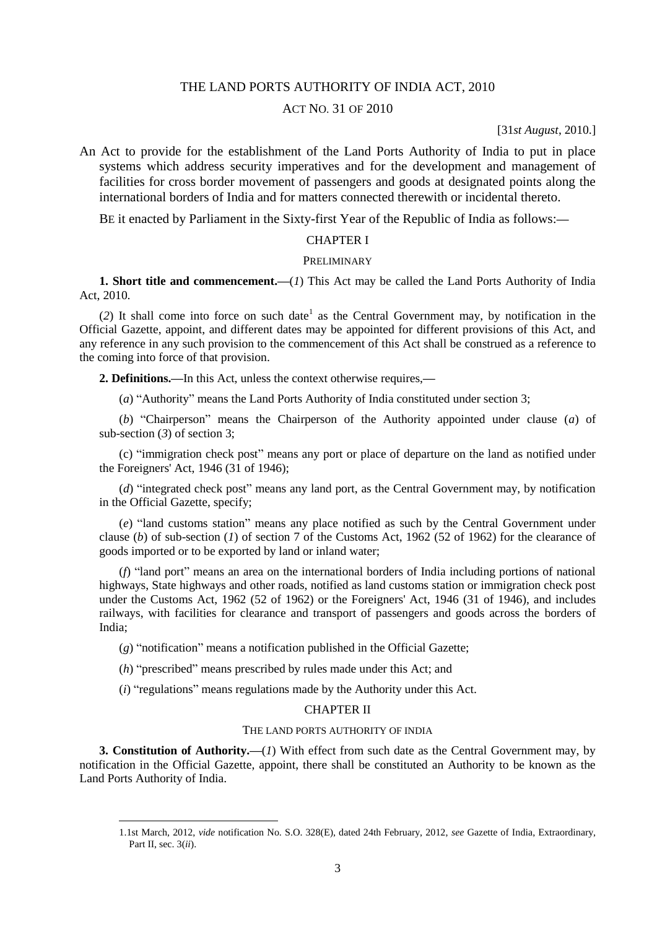# THE LAND PORTS AUTHORITY OF INDIA ACT, 2010

# ACT NO. 31 OF 2010

# [31*st August*, 2010.]

An Act to provide for the establishment of the Land Ports Authority of India to put in place systems which address security imperatives and for the development and management of facilities for cross border movement of passengers and goods at designated points along the international borders of India and for matters connected therewith or incidental thereto.

BE it enacted by Parliament in the Sixty-first Year of the Republic of India as follows:**—**

# CHAPTER I

# PRELIMINARY

**1. Short title and commencement.—**(*1*) This Act may be called the Land Ports Authority of India Act, 2010.

 $(2)$  It shall come into force on such date<sup>1</sup> as the Central Government may, by notification in the Official Gazette, appoint, and different dates may be appointed for different provisions of this Act, and any reference in any such provision to the commencement of this Act shall be construed as a reference to the coming into force of that provision.

**2. Definitions.—**In this Act, unless the context otherwise requires,**—**

(*a*) "Authority" means the Land Ports Authority of India constituted under section 3;

(*b*) "Chairperson" means the Chairperson of the Authority appointed under clause (*a*) of sub-section (*3*) of section 3;

(c) "immigration check post" means any port or place of departure on the land as notified under the Foreigners' Act, 1946 (31 of 1946);

(*d*) "integrated check post" means any land port, as the Central Government may, by notification in the Official Gazette, specify;

(*e*) "land customs station" means any place notified as such by the Central Government under clause (*b*) of sub-section (*1*) of section 7 of the Customs Act, 1962 (52 of 1962) for the clearance of goods imported or to be exported by land or inland water;

(*f*) "land port" means an area on the international borders of India including portions of national highways, State highways and other roads, notified as land customs station or immigration check post under the Customs Act, 1962 (52 of 1962) or the Foreigners' Act, 1946 (31 of 1946), and includes railways, with facilities for clearance and transport of passengers and goods across the borders of India;

(*g*) "notification" means a notification published in the Official Gazette;

(*h*) "prescribed" means prescribed by rules made under this Act; and

1

(*i*) "regulations" means regulations made by the Authority under this Act.

### CHAPTER II

### THE LAND PORTS AUTHORITY OF INDIA

**3. Constitution of Authority.—**(*1*) With effect from such date as the Central Government may, by notification in the Official Gazette, appoint, there shall be constituted an Authority to be known as the Land Ports Authority of India.

<sup>1.1</sup>st March, 2012, *vide* notification No. S.O. 328(E), dated 24th February, 2012, *see* Gazette of India, Extraordinary, Part II, sec. 3(*ii*).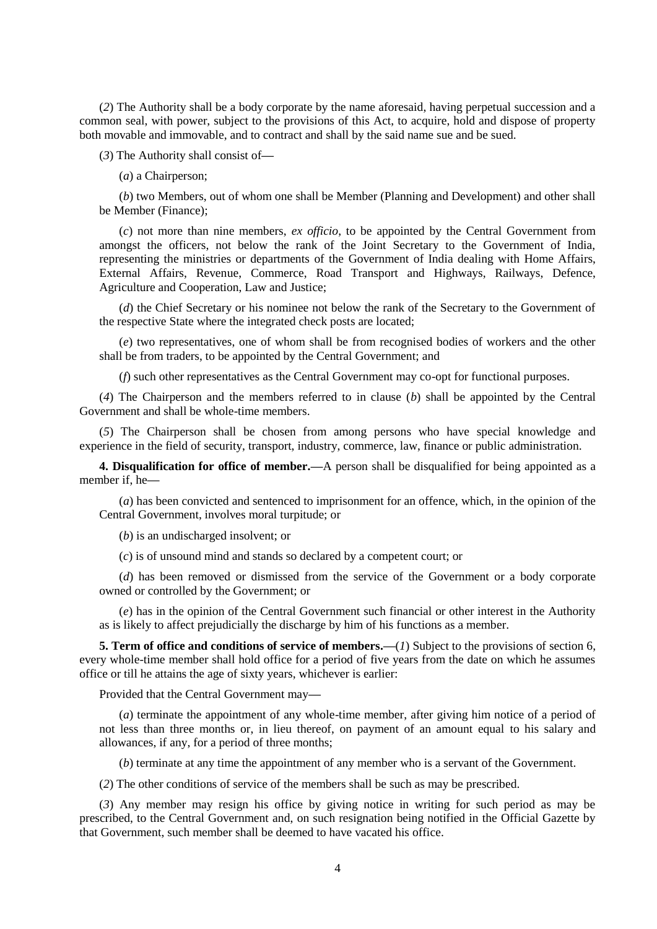(*2*) The Authority shall be a body corporate by the name aforesaid, having perpetual succession and a common seal, with power, subject to the provisions of this Act, to acquire, hold and dispose of property both movable and immovable, and to contract and shall by the said name sue and be sued.

(*3*) The Authority shall consist of**—**

(*a*) a Chairperson;

(*b*) two Members, out of whom one shall be Member (Planning and Development) and other shall be Member (Finance);

(*c*) not more than nine members, *ex officio*, to be appointed by the Central Government from amongst the officers, not below the rank of the Joint Secretary to the Government of India, representing the ministries or departments of the Government of India dealing with Home Affairs, External Affairs, Revenue, Commerce, Road Transport and Highways, Railways, Defence, Agriculture and Cooperation, Law and Justice;

(*d*) the Chief Secretary or his nominee not below the rank of the Secretary to the Government of the respective State where the integrated check posts are located;

(*e*) two representatives, one of whom shall be from recognised bodies of workers and the other shall be from traders, to be appointed by the Central Government; and

(*f*) such other representatives as the Central Government may co-opt for functional purposes.

(*4*) The Chairperson and the members referred to in clause (*b*) shall be appointed by the Central Government and shall be whole-time members.

(*5*) The Chairperson shall be chosen from among persons who have special knowledge and experience in the field of security, transport, industry, commerce, law, finance or public administration.

**4. Disqualification for office of member.—**A person shall be disqualified for being appointed as a member if, he**—**

(*a*) has been convicted and sentenced to imprisonment for an offence, which, in the opinion of the Central Government, involves moral turpitude; or

(*b*) is an undischarged insolvent; or

(*c*) is of unsound mind and stands so declared by a competent court; or

(*d*) has been removed or dismissed from the service of the Government or a body corporate owned or controlled by the Government; or

(*e*) has in the opinion of the Central Government such financial or other interest in the Authority as is likely to affect prejudicially the discharge by him of his functions as a member.

**5. Term of office and conditions of service of members.—**(*1*) Subject to the provisions of section 6, every whole-time member shall hold office for a period of five years from the date on which he assumes office or till he attains the age of sixty years, whichever is earlier:

Provided that the Central Government may**—**

(*a*) terminate the appointment of any whole-time member, after giving him notice of a period of not less than three months or, in lieu thereof, on payment of an amount equal to his salary and allowances, if any, for a period of three months;

(*b*) terminate at any time the appointment of any member who is a servant of the Government.

(*2*) The other conditions of service of the members shall be such as may be prescribed.

(*3*) Any member may resign his office by giving notice in writing for such period as may be prescribed, to the Central Government and, on such resignation being notified in the Official Gazette by that Government, such member shall be deemed to have vacated his office.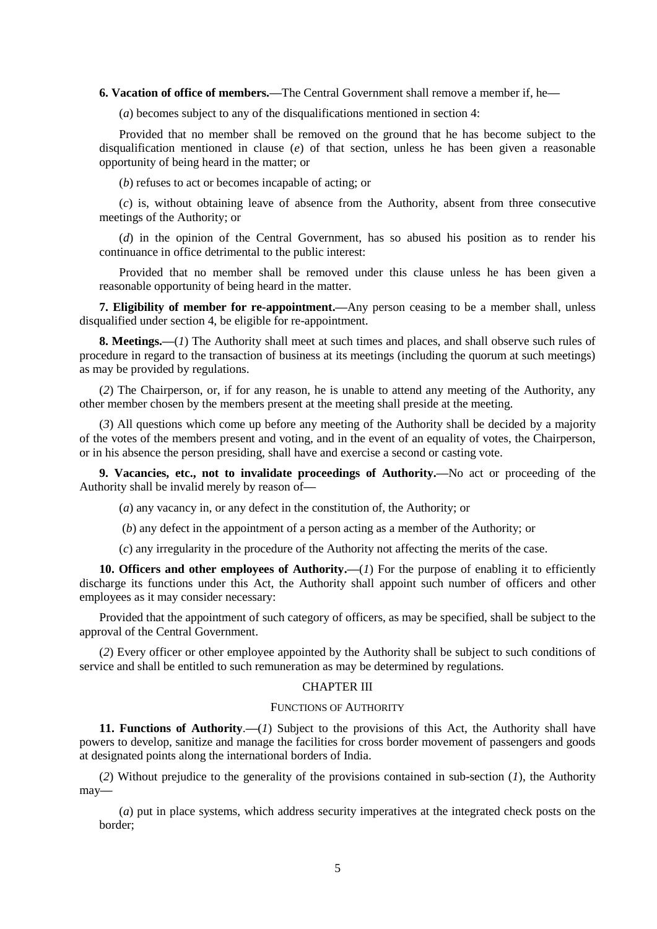**6. Vacation of office of members.—**The Central Government shall remove a member if, he**—**

(*a*) becomes subject to any of the disqualifications mentioned in section 4:

Provided that no member shall be removed on the ground that he has become subject to the disqualification mentioned in clause (*e*) of that section, unless he has been given a reasonable opportunity of being heard in the matter; or

(*b*) refuses to act or becomes incapable of acting; or

(*c*) is, without obtaining leave of absence from the Authority, absent from three consecutive meetings of the Authority; or

(*d*) in the opinion of the Central Government, has so abused his position as to render his continuance in office detrimental to the public interest:

Provided that no member shall be removed under this clause unless he has been given a reasonable opportunity of being heard in the matter.

**7. Eligibility of member for re-appointment.—**Any person ceasing to be a member shall, unless disqualified under section 4, be eligible for re-appointment.

**8. Meetings.—**(*1*) The Authority shall meet at such times and places, and shall observe such rules of procedure in regard to the transaction of business at its meetings (including the quorum at such meetings) as may be provided by regulations.

(*2*) The Chairperson, or, if for any reason, he is unable to attend any meeting of the Authority, any other member chosen by the members present at the meeting shall preside at the meeting.

(*3*) All questions which come up before any meeting of the Authority shall be decided by a majority of the votes of the members present and voting, and in the event of an equality of votes, the Chairperson, or in his absence the person presiding, shall have and exercise a second or casting vote.

**9. Vacancies, etc., not to invalidate proceedings of Authority.—**No act or proceeding of the Authority shall be invalid merely by reason of**—**

(*a*) any vacancy in, or any defect in the constitution of, the Authority; or

(*b*) any defect in the appointment of a person acting as a member of the Authority; or

(*c*) any irregularity in the procedure of the Authority not affecting the merits of the case.

**10. Officers and other employees of Authority.—(***1***) For the purpose of enabling it to efficiently** discharge its functions under this Act, the Authority shall appoint such number of officers and other employees as it may consider necessary:

Provided that the appointment of such category of officers, as may be specified, shall be subject to the approval of the Central Government.

(*2*) Every officer or other employee appointed by the Authority shall be subject to such conditions of service and shall be entitled to such remuneration as may be determined by regulations.

# CHAPTER III

#### FUNCTIONS OF AUTHORITY

**11. Functions of Authority**.**—**(*1*) Subject to the provisions of this Act, the Authority shall have powers to develop, sanitize and manage the facilities for cross border movement of passengers and goods at designated points along the international borders of India.

(*2*) Without prejudice to the generality of the provisions contained in sub-section (*1*), the Authority may**—**

(*a*) put in place systems, which address security imperatives at the integrated check posts on the border;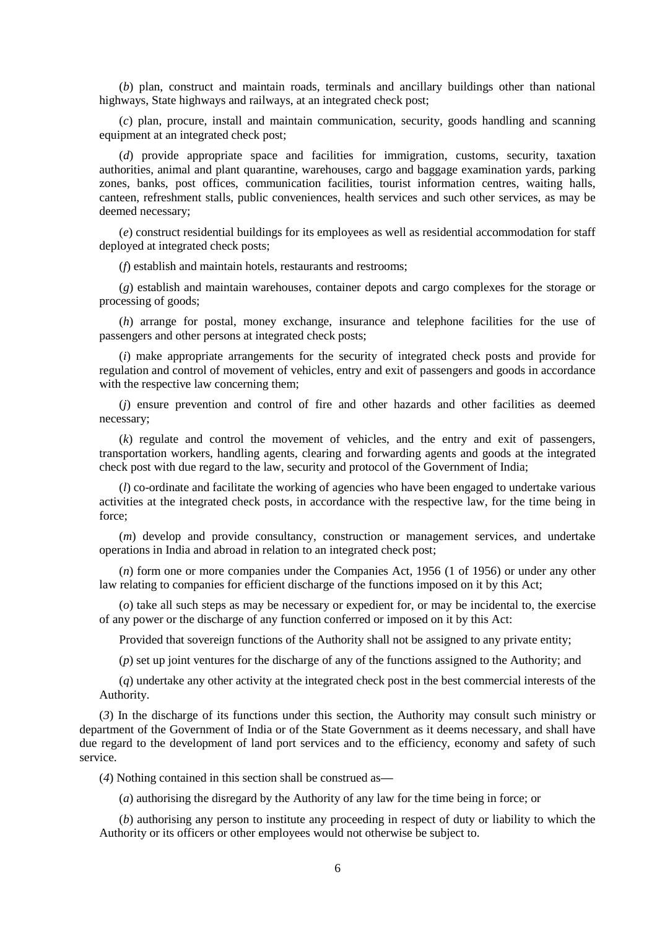(*b*) plan, construct and maintain roads, terminals and ancillary buildings other than national highways, State highways and railways, at an integrated check post;

(*c*) plan, procure, install and maintain communication, security, goods handling and scanning equipment at an integrated check post;

(*d*) provide appropriate space and facilities for immigration, customs, security, taxation authorities, animal and plant quarantine, warehouses, cargo and baggage examination yards, parking zones, banks, post offices, communication facilities, tourist information centres, waiting halls, canteen, refreshment stalls, public conveniences, health services and such other services, as may be deemed necessary;

(*e*) construct residential buildings for its employees as well as residential accommodation for staff deployed at integrated check posts;

(*f*) establish and maintain hotels, restaurants and restrooms;

(*g*) establish and maintain warehouses, container depots and cargo complexes for the storage or processing of goods;

(*h*) arrange for postal, money exchange, insurance and telephone facilities for the use of passengers and other persons at integrated check posts;

(*i*) make appropriate arrangements for the security of integrated check posts and provide for regulation and control of movement of vehicles, entry and exit of passengers and goods in accordance with the respective law concerning them;

(*j*) ensure prevention and control of fire and other hazards and other facilities as deemed necessary;

(*k*) regulate and control the movement of vehicles, and the entry and exit of passengers, transportation workers, handling agents, clearing and forwarding agents and goods at the integrated check post with due regard to the law, security and protocol of the Government of India;

(*l*) co-ordinate and facilitate the working of agencies who have been engaged to undertake various activities at the integrated check posts, in accordance with the respective law, for the time being in force;

(*m*) develop and provide consultancy, construction or management services, and undertake operations in India and abroad in relation to an integrated check post;

(*n*) form one or more companies under the Companies Act, 1956 (1 of 1956) or under any other law relating to companies for efficient discharge of the functions imposed on it by this Act;

(*o*) take all such steps as may be necessary or expedient for, or may be incidental to, the exercise of any power or the discharge of any function conferred or imposed on it by this Act:

Provided that sovereign functions of the Authority shall not be assigned to any private entity;

(*p*) set up joint ventures for the discharge of any of the functions assigned to the Authority; and

(*q*) undertake any other activity at the integrated check post in the best commercial interests of the Authority.

(*3*) In the discharge of its functions under this section, the Authority may consult such ministry or department of the Government of India or of the State Government as it deems necessary, and shall have due regard to the development of land port services and to the efficiency, economy and safety of such service.

(*4*) Nothing contained in this section shall be construed as**—**

(*a*) authorising the disregard by the Authority of any law for the time being in force; or

(*b*) authorising any person to institute any proceeding in respect of duty or liability to which the Authority or its officers or other employees would not otherwise be subject to.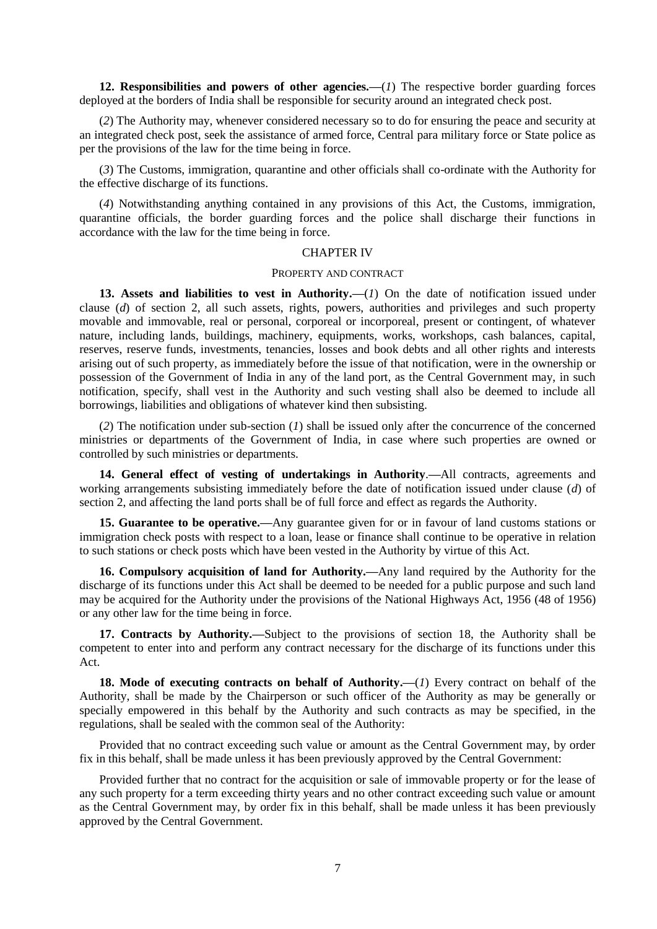**12. Responsibilities and powers of other agencies.—**(*1*) The respective border guarding forces deployed at the borders of India shall be responsible for security around an integrated check post.

(*2*) The Authority may, whenever considered necessary so to do for ensuring the peace and security at an integrated check post, seek the assistance of armed force, Central para military force or State police as per the provisions of the law for the time being in force.

(*3*) The Customs, immigration, quarantine and other officials shall co-ordinate with the Authority for the effective discharge of its functions.

(*4*) Notwithstanding anything contained in any provisions of this Act, the Customs, immigration, quarantine officials, the border guarding forces and the police shall discharge their functions in accordance with the law for the time being in force.

### CHAPTER IV

## PROPERTY AND CONTRACT

**13. Assets and liabilities to vest in Authority.—**(*1*) On the date of notification issued under clause (*d*) of section 2, all such assets, rights, powers, authorities and privileges and such property movable and immovable, real or personal, corporeal or incorporeal, present or contingent, of whatever nature, including lands, buildings, machinery, equipments, works, workshops, cash balances, capital, reserves, reserve funds, investments, tenancies, losses and book debts and all other rights and interests arising out of such property, as immediately before the issue of that notification, were in the ownership or possession of the Government of India in any of the land port, as the Central Government may, in such notification, specify, shall vest in the Authority and such vesting shall also be deemed to include all borrowings, liabilities and obligations of whatever kind then subsisting.

(*2*) The notification under sub-section (*1*) shall be issued only after the concurrence of the concerned ministries or departments of the Government of India, in case where such properties are owned or controlled by such ministries or departments.

**14. General effect of vesting of undertakings in Authority**.**—**All contracts, agreements and working arrangements subsisting immediately before the date of notification issued under clause (*d*) of section 2, and affecting the land ports shall be of full force and effect as regards the Authority.

**15. Guarantee to be operative.—**Any guarantee given for or in favour of land customs stations or immigration check posts with respect to a loan, lease or finance shall continue to be operative in relation to such stations or check posts which have been vested in the Authority by virtue of this Act.

**16. Compulsory acquisition of land for Authority.—**Any land required by the Authority for the discharge of its functions under this Act shall be deemed to be needed for a public purpose and such land may be acquired for the Authority under the provisions of the National Highways Act, 1956 (48 of 1956) or any other law for the time being in force.

**17. Contracts by Authority.—**Subject to the provisions of section 18, the Authority shall be competent to enter into and perform any contract necessary for the discharge of its functions under this Act.

**18. Mode of executing contracts on behalf of Authority.—**(*1*) Every contract on behalf of the Authority, shall be made by the Chairperson or such officer of the Authority as may be generally or specially empowered in this behalf by the Authority and such contracts as may be specified, in the regulations, shall be sealed with the common seal of the Authority:

Provided that no contract exceeding such value or amount as the Central Government may, by order fix in this behalf, shall be made unless it has been previously approved by the Central Government:

Provided further that no contract for the acquisition or sale of immovable property or for the lease of any such property for a term exceeding thirty years and no other contract exceeding such value or amount as the Central Government may, by order fix in this behalf, shall be made unless it has been previously approved by the Central Government.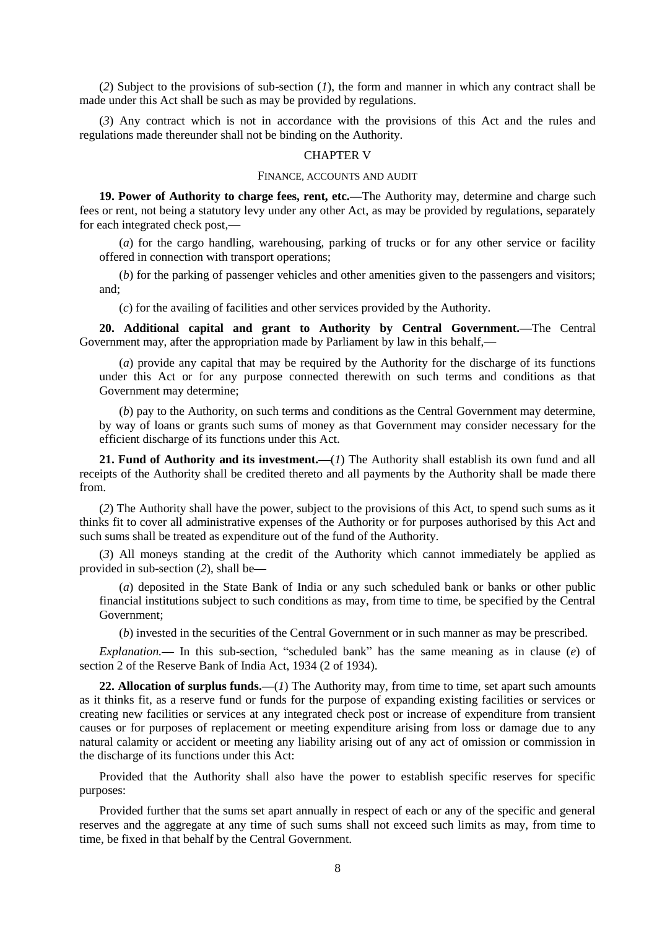(*2*) Subject to the provisions of sub-section (*1*), the form and manner in which any contract shall be made under this Act shall be such as may be provided by regulations.

(*3*) Any contract which is not in accordance with the provisions of this Act and the rules and regulations made thereunder shall not be binding on the Authority.

### CHAPTER V

### FINANCE, ACCOUNTS AND AUDIT

**19. Power of Authority to charge fees, rent, etc.—**The Authority may, determine and charge such fees or rent, not being a statutory levy under any other Act, as may be provided by regulations, separately for each integrated check post,**—**

(*a*) for the cargo handling, warehousing, parking of trucks or for any other service or facility offered in connection with transport operations;

(*b*) for the parking of passenger vehicles and other amenities given to the passengers and visitors; and;

(*c*) for the availing of facilities and other services provided by the Authority.

**20. Additional capital and grant to Authority by Central Government.—**The Central Government may, after the appropriation made by Parliament by law in this behalf,**—**

(*a*) provide any capital that may be required by the Authority for the discharge of its functions under this Act or for any purpose connected therewith on such terms and conditions as that Government may determine;

(*b*) pay to the Authority, on such terms and conditions as the Central Government may determine, by way of loans or grants such sums of money as that Government may consider necessary for the efficient discharge of its functions under this Act.

**21. Fund of Authority and its investment.—**(*1*) The Authority shall establish its own fund and all receipts of the Authority shall be credited thereto and all payments by the Authority shall be made there from.

(*2*) The Authority shall have the power, subject to the provisions of this Act, to spend such sums as it thinks fit to cover all administrative expenses of the Authority or for purposes authorised by this Act and such sums shall be treated as expenditure out of the fund of the Authority.

(*3*) All moneys standing at the credit of the Authority which cannot immediately be applied as provided in sub-section (*2*), shall be**—**

(*a*) deposited in the State Bank of India or any such scheduled bank or banks or other public financial institutions subject to such conditions as may, from time to time, be specified by the Central Government;

(*b*) invested in the securities of the Central Government or in such manner as may be prescribed.

*Explanation.***—** In this sub-section, "scheduled bank" has the same meaning as in clause (*e*) of section 2 of the Reserve Bank of India Act, 1934 (2 of 1934).

**22. Allocation of surplus funds.—**(*1*) The Authority may, from time to time, set apart such amounts as it thinks fit, as a reserve fund or funds for the purpose of expanding existing facilities or services or creating new facilities or services at any integrated check post or increase of expenditure from transient causes or for purposes of replacement or meeting expenditure arising from loss or damage due to any natural calamity or accident or meeting any liability arising out of any act of omission or commission in the discharge of its functions under this Act:

Provided that the Authority shall also have the power to establish specific reserves for specific purposes:

Provided further that the sums set apart annually in respect of each or any of the specific and general reserves and the aggregate at any time of such sums shall not exceed such limits as may, from time to time, be fixed in that behalf by the Central Government.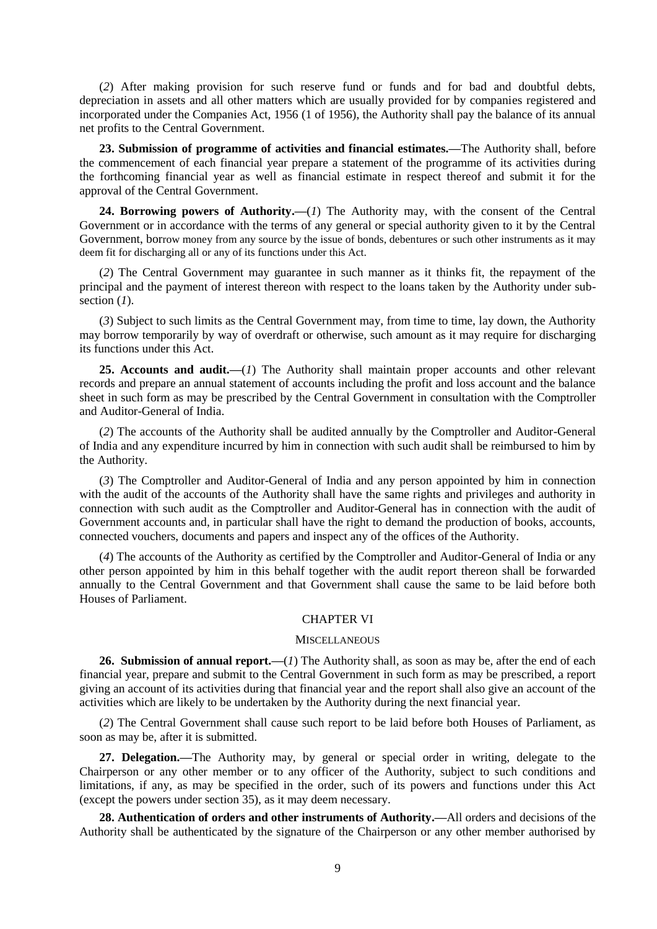(*2*) After making provision for such reserve fund or funds and for bad and doubtful debts, depreciation in assets and all other matters which are usually provided for by companies registered and incorporated under the Companies Act, 1956 (1 of 1956), the Authority shall pay the balance of its annual net profits to the Central Government.

**23. Submission of programme of activities and financial estimates.—**The Authority shall, before the commencement of each financial year prepare a statement of the programme of its activities during the forthcoming financial year as well as financial estimate in respect thereof and submit it for the approval of the Central Government.

**24. Borrowing powers of Authority.—**(*1*) The Authority may, with the consent of the Central Government or in accordance with the terms of any general or special authority given to it by the Central Government, borrow money from any source by the issue of bonds, debentures or such other instruments as it may deem fit for discharging all or any of its functions under this Act.

(*2*) The Central Government may guarantee in such manner as it thinks fit, the repayment of the principal and the payment of interest thereon with respect to the loans taken by the Authority under subsection (*1*).

(*3*) Subject to such limits as the Central Government may, from time to time, lay down, the Authority may borrow temporarily by way of overdraft or otherwise, such amount as it may require for discharging its functions under this Act.

**25. Accounts and audit.—**(*1*) The Authority shall maintain proper accounts and other relevant records and prepare an annual statement of accounts including the profit and loss account and the balance sheet in such form as may be prescribed by the Central Government in consultation with the Comptroller and Auditor-General of India.

(*2*) The accounts of the Authority shall be audited annually by the Comptroller and Auditor-General of India and any expenditure incurred by him in connection with such audit shall be reimbursed to him by the Authority.

(*3*) The Comptroller and Auditor-General of India and any person appointed by him in connection with the audit of the accounts of the Authority shall have the same rights and privileges and authority in connection with such audit as the Comptroller and Auditor-General has in connection with the audit of Government accounts and, in particular shall have the right to demand the production of books, accounts, connected vouchers, documents and papers and inspect any of the offices of the Authority.

(*4*) The accounts of the Authority as certified by the Comptroller and Auditor-General of India or any other person appointed by him in this behalf together with the audit report thereon shall be forwarded annually to the Central Government and that Government shall cause the same to be laid before both Houses of Parliament.

#### CHAPTER VI

#### **MISCELLANEOUS**

**26. Submission of annual report.—**(*1*) The Authority shall, as soon as may be, after the end of each financial year, prepare and submit to the Central Government in such form as may be prescribed, a report giving an account of its activities during that financial year and the report shall also give an account of the activities which are likely to be undertaken by the Authority during the next financial year.

(*2*) The Central Government shall cause such report to be laid before both Houses of Parliament, as soon as may be, after it is submitted.

**27. Delegation.—**The Authority may, by general or special order in writing, delegate to the Chairperson or any other member or to any officer of the Authority, subject to such conditions and limitations, if any, as may be specified in the order, such of its powers and functions under this Act (except the powers under section 35), as it may deem necessary.

**28. Authentication of orders and other instruments of Authority.—**All orders and decisions of the Authority shall be authenticated by the signature of the Chairperson or any other member authorised by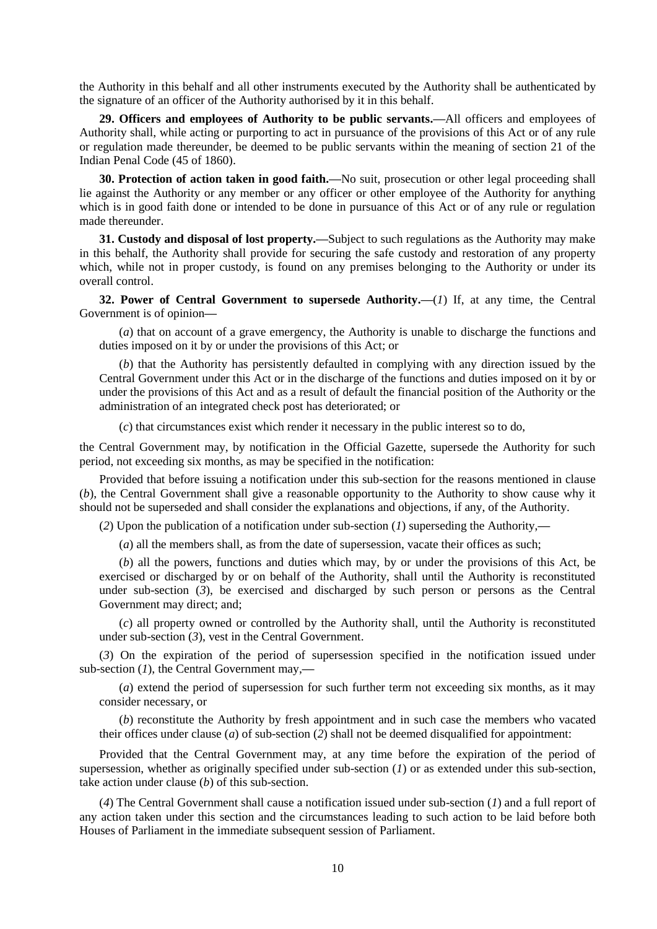the Authority in this behalf and all other instruments executed by the Authority shall be authenticated by the signature of an officer of the Authority authorised by it in this behalf.

**29. Officers and employees of Authority to be public servants.—**All officers and employees of Authority shall, while acting or purporting to act in pursuance of the provisions of this Act or of any rule or regulation made thereunder, be deemed to be public servants within the meaning of section 21 of the Indian Penal Code (45 of 1860).

**30. Protection of action taken in good faith.—**No suit, prosecution or other legal proceeding shall lie against the Authority or any member or any officer or other employee of the Authority for anything which is in good faith done or intended to be done in pursuance of this Act or of any rule or regulation made thereunder.

**31. Custody and disposal of lost property.—**Subject to such regulations as the Authority may make in this behalf, the Authority shall provide for securing the safe custody and restoration of any property which, while not in proper custody, is found on any premises belonging to the Authority or under its overall control.

**32. Power of Central Government to supersede Authority.—**(*1*) If, at any time, the Central Government is of opinion**—**

(*a*) that on account of a grave emergency, the Authority is unable to discharge the functions and duties imposed on it by or under the provisions of this Act; or

(*b*) that the Authority has persistently defaulted in complying with any direction issued by the Central Government under this Act or in the discharge of the functions and duties imposed on it by or under the provisions of this Act and as a result of default the financial position of the Authority or the administration of an integrated check post has deteriorated; or

(*c*) that circumstances exist which render it necessary in the public interest so to do,

the Central Government may, by notification in the Official Gazette, supersede the Authority for such period, not exceeding six months, as may be specified in the notification:

Provided that before issuing a notification under this sub-section for the reasons mentioned in clause (*b*), the Central Government shall give a reasonable opportunity to the Authority to show cause why it should not be superseded and shall consider the explanations and objections, if any, of the Authority.

(*2*) Upon the publication of a notification under sub-section (*1*) superseding the Authority,**—**

(*a*) all the members shall, as from the date of supersession, vacate their offices as such;

(*b*) all the powers, functions and duties which may, by or under the provisions of this Act, be exercised or discharged by or on behalf of the Authority, shall until the Authority is reconstituted under sub-section (*3*), be exercised and discharged by such person or persons as the Central Government may direct; and;

(*c*) all property owned or controlled by the Authority shall, until the Authority is reconstituted under sub-section (*3*), vest in the Central Government.

(*3*) On the expiration of the period of supersession specified in the notification issued under sub-section (*1*), the Central Government may,**—**

(*a*) extend the period of supersession for such further term not exceeding six months, as it may consider necessary, or

(*b*) reconstitute the Authority by fresh appointment and in such case the members who vacated their offices under clause (*a*) of sub-section  $\overline{2}$ ) shall not be deemed disqualified for appointment:

Provided that the Central Government may, at any time before the expiration of the period of supersession, whether as originally specified under sub-section (*1*) or as extended under this sub-section, take action under clause (*b*) of this sub-section.

(*4*) The Central Government shall cause a notification issued under sub-section (*1*) and a full report of any action taken under this section and the circumstances leading to such action to be laid before both Houses of Parliament in the immediate subsequent session of Parliament.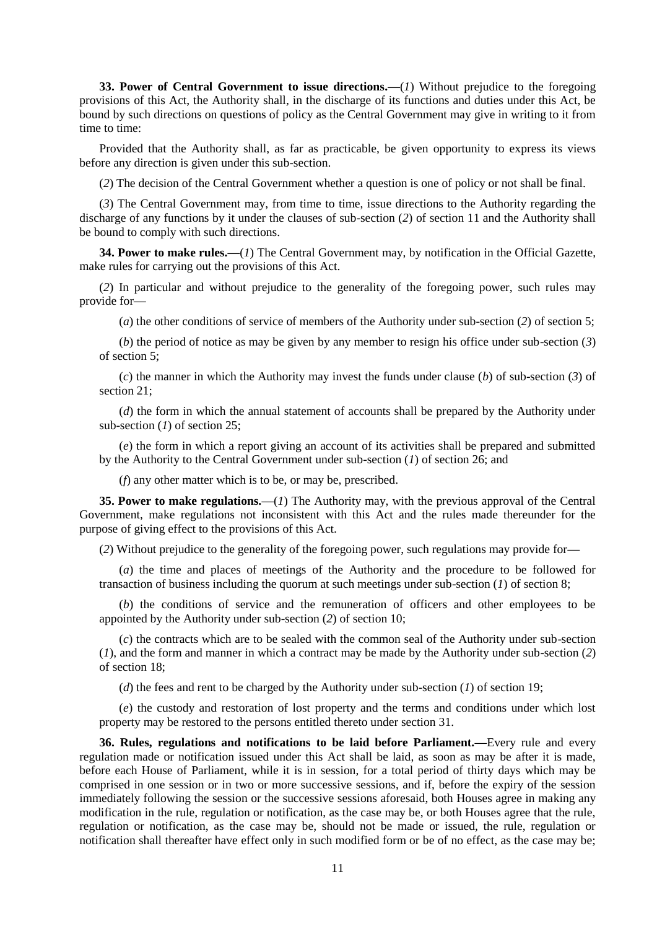**33. Power of Central Government to issue directions.—**(*1*) Without prejudice to the foregoing provisions of this Act, the Authority shall, in the discharge of its functions and duties under this Act, be bound by such directions on questions of policy as the Central Government may give in writing to it from time to time:

Provided that the Authority shall, as far as practicable, be given opportunity to express its views before any direction is given under this sub-section.

(*2*) The decision of the Central Government whether a question is one of policy or not shall be final.

(*3*) The Central Government may, from time to time, issue directions to the Authority regarding the discharge of any functions by it under the clauses of sub-section (*2*) of section 11 and the Authority shall be bound to comply with such directions.

**34. Power to make rules.—**(*1*) The Central Government may, by notification in the Official Gazette, make rules for carrying out the provisions of this Act.

(*2*) In particular and without prejudice to the generality of the foregoing power, such rules may provide for**—**

(*a*) the other conditions of service of members of the Authority under sub-section (*2*) of section 5;

(*b*) the period of notice as may be given by any member to resign his office under sub-section (*3*) of section 5;

(*c*) the manner in which the Authority may invest the funds under clause (*b*) of sub-section (*3*) of section 21;

(*d*) the form in which the annual statement of accounts shall be prepared by the Authority under sub-section (*1*) of section 25;

(*e*) the form in which a report giving an account of its activities shall be prepared and submitted by the Authority to the Central Government under sub-section (*1*) of section 26; and

(*f*) any other matter which is to be, or may be, prescribed.

**35. Power to make regulations.—**(*1*) The Authority may, with the previous approval of the Central Government, make regulations not inconsistent with this Act and the rules made thereunder for the purpose of giving effect to the provisions of this Act.

(*2*) Without prejudice to the generality of the foregoing power, such regulations may provide for**—**

(*a*) the time and places of meetings of the Authority and the procedure to be followed for transaction of business including the quorum at such meetings under sub-section (*1*) of section 8;

(*b*) the conditions of service and the remuneration of officers and other employees to be appointed by the Authority under sub-section (*2*) of section 10;

(*c*) the contracts which are to be sealed with the common seal of the Authority under sub-section (*1*), and the form and manner in which a contract may be made by the Authority under sub-section (*2*) of section 18;

(*d*) the fees and rent to be charged by the Authority under sub-section (*1*) of section 19;

(*e*) the custody and restoration of lost property and the terms and conditions under which lost property may be restored to the persons entitled thereto under section 31.

**36. Rules, regulations and notifications to be laid before Parliament.—**Every rule and every regulation made or notification issued under this Act shall be laid, as soon as may be after it is made, before each House of Parliament, while it is in session, for a total period of thirty days which may be comprised in one session or in two or more successive sessions, and if, before the expiry of the session immediately following the session or the successive sessions aforesaid, both Houses agree in making any modification in the rule, regulation or notification, as the case may be, or both Houses agree that the rule, regulation or notification, as the case may be, should not be made or issued, the rule, regulation or notification shall thereafter have effect only in such modified form or be of no effect, as the case may be;